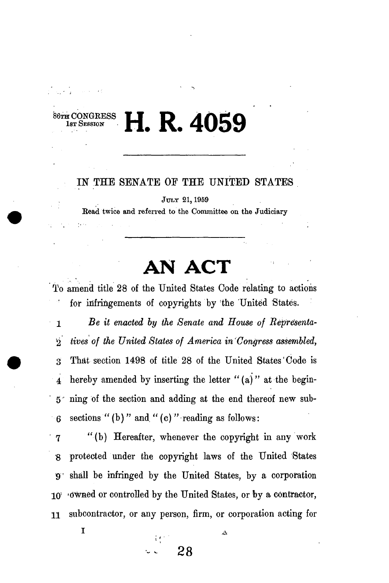*H***<sub><b>R**</sub> CONGRESS **H**<sub>*b*</sub><sub></sub> **R 4059** 

## IN THE SENATE OF THE UNITED STATES

JULY 21,1959

Bead twice and referred to the Committee on the Judiciary

## **AN ACT**

To amend title 28 of the United States Code relating to actions for infringements of copyrights by the United States.

1 *Be it enacted by the Senate and House of Representa-* '2 *tives of the United States of America in Congress assembled,*  3 That section 1498 of title 28 of the United States'Code is  $\frac{1}{4}$  hereby amended by inserting the letter "(a)" at the begin-5 ning of the section and adding at the end thereof new sub- $-6$  sections " (b)" and " (c)" reading as follows:

' 7 "(b) Hereafter, whenever the copyright in any work 8 protected under the copyright laws of the United States 9' shall be infringed by the United States, by a corporation 10; -dwned or controlled by the United States, or by a contractor, 11 subcontractor, or any person, firm, or corporation acting for

**- 28** 

*t i •* 

 $\mathbf{1}$  **A**  $\mathbf{A}$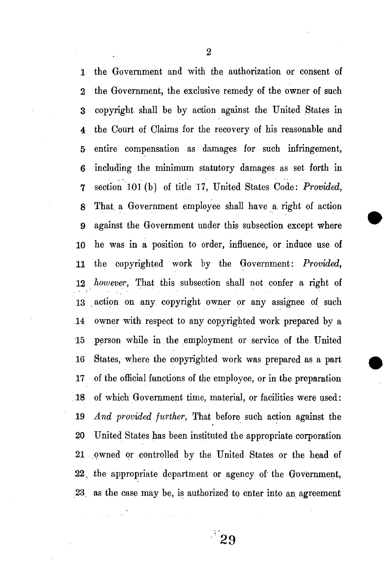1 the Government and with the authorization or consent of 2 the Government, the exclusive remedy of the owner of such 3 copyright shall be by action against the United States in 4 the Court of Claims for the recovery of his reasonable and 5 entire compensation as damages for such infringement, 6 including the minimum statutory damages as set forth in 7 section 101 (b) of title 17, United States Code: *Provided,*  8 That, a Government employee shall have a. right of action 9 against the Government under this subsection except where 10 he was in a position to order, influence, or induce use of 11 the copyrighted work by the Government: *Provided,*  12 *however,* That this subsection shall not confer a right of 13 action on any copyright owner or any assignee of such 14 owner with respect to any copyrighted work prepared by a 15 person while in. the employment or service of the United 16 States, where the copyrighted work was prepared as a part 17 of the official functions of the employee, or in the preparation .18 of which Government time, material, or facilities were used: 19 *And provided further,* That before such action against the 20 United States has been instituted the appropriate corporation 21 owned or controlled by the United States or the head of 22, the appropriate department or agency of the Government, 23 as the case may be, is authorized to enter into an agreement

2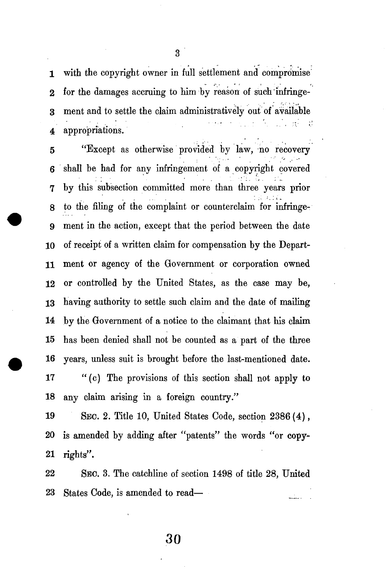3

1 with the copyright owner in full settlement and compromise 2 for the damages accruing to him by reason of such infringe-3 ment and to settle the claim administratively out of available 2. 关键 Å, 4 appropriations.

5 "Except as otherwise provided by law, no recovery 6 shall be had for any infringement of a copyright covered 7 by this subsection committed more than three years prior 8 to the filing of the complaint or counterclaim for infringe-9 ment in the action, except that the period between the date 10 of receipt of a written claim for compensation by the Depart-11 ment or agency of the Government or corporation owned 12 or controlled by the United States, as the case may be, 13 having authority to settle such claim and the date of mailing 14 by the Government of a notice to the claimant that his claim 15 has been denied shall not be counted as a part of the three 16 years, unless suit is brought before the last-mentioned date. 17 " (c) The provisions of this section shall not apply to 18 any claim arising in a foreign country."

19 SEC. 2. Title 10, United States Code, section 2386 (4), 20 is amended by adding after "patents" the words "or copy-21 rights".

22 SEC. 3. The catchline of section 1498 of title 28, United 23 States Code, is amended to read

**30**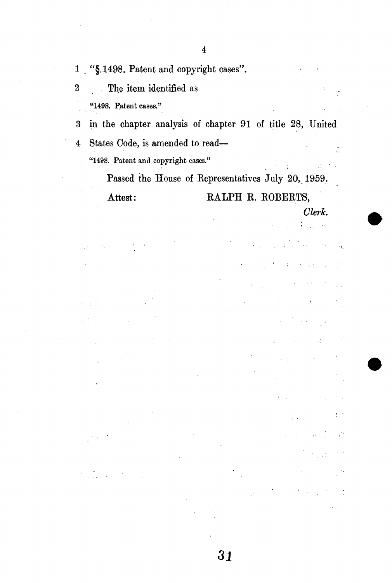- 1 . "§1498. Patent and copyright cases".
- 2 The. item identified as
	- "1498. Patent cases."

ļ,

3 in the chapter analysis of chapter 91 of title 28, United 4 States Code, is amended to read— "1498. Patent and copyright cases."

> Passed the House of Eepresentatives July 20, 1959. Attest: RALPH R. ROBERTS,

> > *Clerk.*   $\frac{1}{10}$   $\frac{1}{2}$

> > > $\cdot$  is

÷.